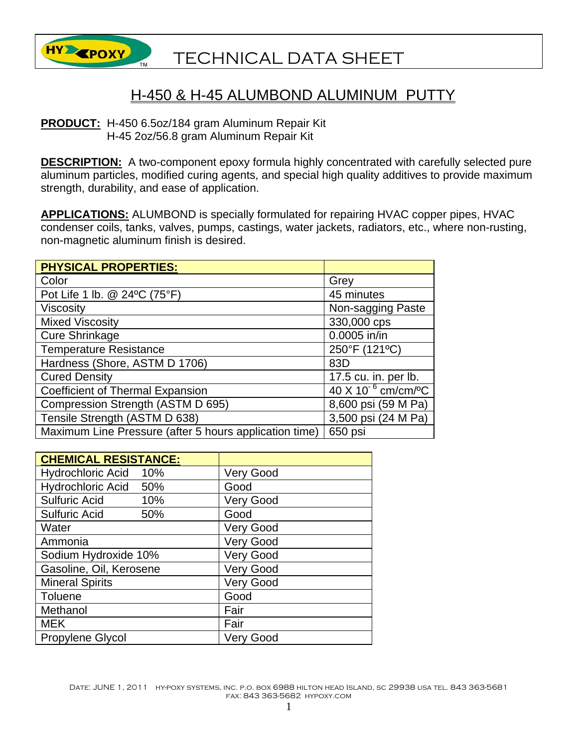

## H-450 & H-45 ALUMBOND ALUMINUM PUTTY

**PRODUCT:** H-450 6.5oz/184 gram Aluminum Repair Kit H-45 2oz/56.8 gram Aluminum Repair Kit

**DESCRIPTION:** A two-component epoxy formula highly concentrated with carefully selected pure aluminum particles, modified curing agents, and special high quality additives to provide maximum strength, durability, and ease of application.

**APPLICATIONS:** ALUMBOND is specially formulated for repairing HVAC copper pipes, HVAC condenser coils, tanks, valves, pumps, castings, water jackets, radiators, etc., where non-rusting, non-magnetic aluminum finish is desired.

| <b>PHYSICAL PROPERTIES:</b>                            |                                             |
|--------------------------------------------------------|---------------------------------------------|
| Color                                                  | Grey                                        |
| Pot Life 1 lb. @ 24°C (75°F)                           | 45 minutes                                  |
| <b>Viscosity</b>                                       | Non-sagging Paste                           |
| <b>Mixed Viscosity</b>                                 | 330,000 cps                                 |
| <b>Cure Shrinkage</b>                                  | 0.0005 in/in                                |
| <b>Temperature Resistance</b>                          | 250°F (121°C)                               |
| Hardness (Shore, ASTM D 1706)                          | 83D                                         |
| <b>Cured Density</b>                                   | 17.5 cu. in. per lb.                        |
| <b>Coefficient of Thermal Expansion</b>                | 40 X 10 <sup>-6</sup> cm/cm/ <sup>o</sup> C |
| Compression Strength (ASTM D 695)                      | 8,600 psi (59 M Pa)                         |
| Tensile Strength (ASTM D 638)                          | 3,500 psi (24 M Pa)                         |
| Maximum Line Pressure (after 5 hours application time) | 650 psi                                     |

| <b>CHEMICAL RESISTANCE:</b> |                  |
|-----------------------------|------------------|
| Hydrochloric Acid 10%       | <b>Very Good</b> |
| Hydrochloric Acid 50%       | Good             |
| <b>Sulfuric Acid</b><br>10% | <b>Very Good</b> |
| <b>Sulfuric Acid</b><br>50% | Good             |
| Water                       | <b>Very Good</b> |
| Ammonia                     | <b>Very Good</b> |
| Sodium Hydroxide 10%        | <b>Very Good</b> |
| Gasoline, Oil, Kerosene     | <b>Very Good</b> |
| <b>Mineral Spirits</b>      | <b>Very Good</b> |
| <b>Toluene</b>              | Good             |
| Methanol                    | Fair             |
| <b>MEK</b>                  | Fair             |
| <b>Propylene Glycol</b>     | <b>Very Good</b> |